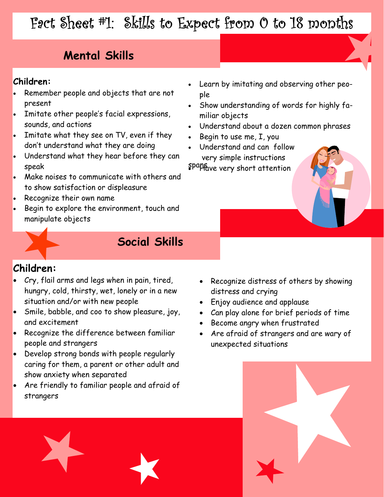# Fact Sheet #1: Skills to Expect from 0 to 18 months

### **Mental Skills**

#### **Children:**

- Remember people and objects that are not present
- Imitate other people's facial expressions, sounds, and actions
- Imitate what they see on TV, even if they don't understand what they are doing
- Understand what they hear before they can speak
- Make noises to communicate with others and to show satisfaction or displeasure
- Recognize their own name
- Begin to explore the environment, touch and manipulate objects
- Learn by imitating and observing other people
- Show understanding of words for highly familiar objects
- Understand about a dozen common phrases
- Begin to use me, I, you
- Understand and can follow very simple instructions

spapfave very short attention



### **Social Skills**

#### **Children:**

- Cry, flail arms and legs when in pain, tired, hungry, cold, thirsty, wet, lonely or in a new situation and/or with new people
- Smile, babble, and coo to show pleasure, joy, and excitement
- Recognize the difference between familiar people and strangers
- Develop strong bonds with people regularly caring for them, a parent or other adult and show anxiety when separated
- Are friendly to familiar people and afraid of strangers
- Recognize distress of others by showing distress and crying
- Enjoy audience and applause
- Can play alone for brief periods of time
- Become angry when frustrated
- Are afraid of strangers and are wary of unexpected situations

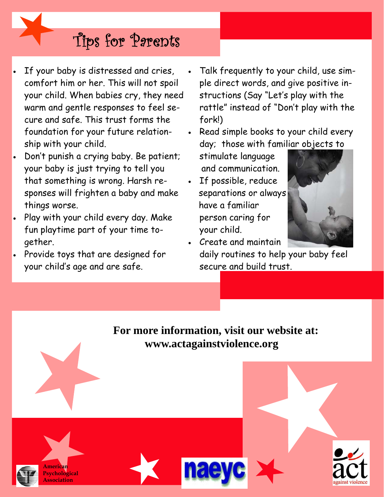- If your baby is distressed and cries, comfort him or her. This will not spoil your child. When babies cry, they need warm and gentle responses to feel secure and safe. This trust forms the foundation for your future relationship with your child.
- Don't punish a crying baby. Be patient; your baby is just trying to tell you that something is wrong. Harsh responses will frighten a baby and make things worse.
- Play with your child every day. Make fun playtime part of your time together.
- Provide toys that are designed for your child's age and are safe. Secure and build trust.

• Talk frequently to your child, use simple direct words, and give positive instructions (Say "Let's play with the rattle" instead of "Don't play with the fork!)

Read simple books to your child every day; those with familiar objects to

stimulate language and communication.

If possible, reduce separations or always have a familiar person caring for your child.



act

against violence

• Create and maintain daily routines to help your baby feel

 **For more information, visit our website at: www.actagainstviolence.org** 



**American Psychological Association**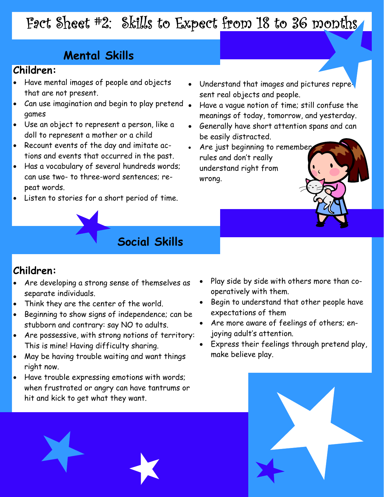# Fact Sheet #2: Skills to Expect from 18 to 36 months

## **Mental Skills**

#### **Children:**

- Have mental images of people and objects that are not present.
- Can use imagination and begin to play pretend games
- Use an object to represent a person, like a doll to represent a mother or a child
- Recount events of the day and imitate actions and events that occurred in the past.
- Has a vocabulary of several hundreds words; can use two- to three-word sentences; repeat words.
- Listen to stories for a short period of time.
- Understand that images and pictures represent real objects and people.
- Have a vague notion of time; still confuse the meanings of today, tomorrow, and yesterday.
- Generally have short attention spans and can be easily distracted.

í

• wrong. Are just beginning to remember rules and don't really understand right from

### **Social Skills**

#### **Children:**

- Are developing a strong sense of themselves as separate individuals.
- Think they are the center of the world.
- Beginning to show signs of independence; can be stubborn and contrary: say NO to adults.
- Are possessive, with strong notions of territory: This is mine! Having difficulty sharing.
- May be having trouble waiting and want things right now.
- Have trouble expressing emotions with words; when frustrated or angry can have tantrums or hit and kick to get what they want.
- Play side by side with others more than cooperatively with them.
- Begin to understand that other people have expectations of them
- Are more aware of feelings of others; enjoying adult's attention.
- Express their feelings through pretend play, make believe play.

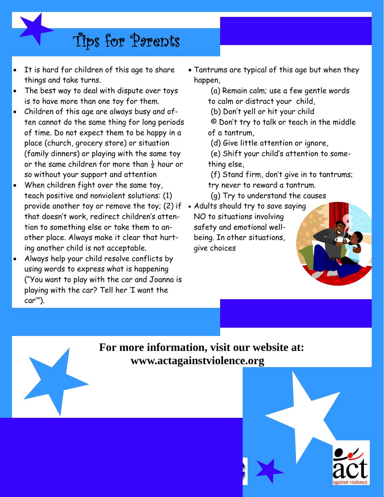- It is hard for children of this age to share things and take turns.
- The best way to deal with dispute over toys is to have more than one toy for them.
- Children of this age are always busy and often cannot do the same thing for long periods of time. Do not expect them to be happy in a place (church, grocery store) or situation (family dinners) or playing with the same toy or the same children for more than  $\frac{1}{2}$  hour or so without your support and attention
- When children fight over the same toy, teach positive and nonviolent solutions: (1) provide another toy or remove the toy; (2) if • Adults should try to save saying that doesn't work, redirect children's attention to something else or take them to another place. Always make it clear that hurting another child is not acceptable.
- Always help your child resolve conflicts by using words to express what is happening ("You want to play with the car and Joanna is playing with the car? Tell her 'I want the car'").
- Tantrums are typical of this age but when they happen,
	- (a) Remain calm; use a few gentle words to calm or distract your child,
	- (b) Don't yell or hit your child
	- © Don't try to talk or teach in the middle of a tantrum,
	- (d) Give little attention or ignore,
	- (e) Shift your child's attention to something else,
	- (f) Stand firm, don't give in to tantrums;

í

- try never to reward a tantrum.
- (g) Try to understand the causes
- NO to situations involving safety and emotional wellbeing. In other situations, give choices

 **For more information, visit our website at: www.actagainstviolence.org** 

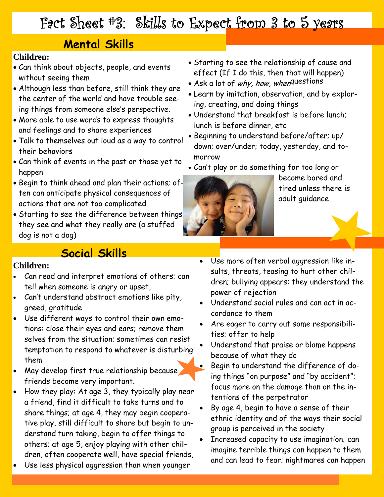## Fact Sheet #3: Skills to Expect from 3 to 5 years

### **Mental Skills**

#### **Children:**

- Can think about objects, people, and events without seeing them
- Although less than before, still think they are the center of the world and have trouble seeing things from someone else's perspective.
- More able to use words to express thoughts and feelings and to share experiences
- Talk to themselves out loud as a way to control their behaviors
- Can think of events in the past or those yet to happen
- Begin to think ahead and plan their actions; of-<br>tired unless there is<br>actions that are not too complicated<br>adult guidance
- Starting to see the difference between things they see and what they really are (a stuffed dog is not a dog)

#### **Social Skills**

#### **Children:**

- Can read and interpret emotions of others; can tell when someone is angry or upset,
- Can't understand abstract emotions like pity, greed, gratitude
- Use different ways to control their own emotions: close their eyes and ears; remove themselves from the situation; sometimes can resist temptation to respond to whatever is disturbing them
- ause • May develop first true relationship because friends become very important.
- How they play: At age 3, they typically play near a friend, find it difficult to take turns and to share things; at age 4, they may begin cooperative play, still difficult to share but begin to understand turn taking, begin to offer things to others; at age 5, enjoy playing with other children, often cooperate well, have special friends,
- Use less physical aggression than when younger
- Starting to see the relationship of cause and effect (If I do this, then that will happen)
- Ask a lot of why, how, when questions
- Learn by imitation, observation, and by exploring, creating, and doing things
- Understand that breakfast is before lunch; lunch is before dinner, etc
- Beginning to understand before/after; up/ down; over/under; today, yesterday, and tomorrow
- Can't play or do something for too long or



adult guidance become bored and

- Use more often verbal aggression like insults, threats, teasing to hurt other children; bullying appears: they understand the power of rejection
- Understand social rules and can act in accordance to them
- Are eager to carry out some responsibilities; offer to help
- Understand that praise or blame happens because of what they do
- Begin to understand the difference of doing things "on purpose" and "by accident"; focus more on the damage than on the intentions of the perpetrator
- By age 4, begin to have a sense of their ethnic identity and of the ways their social group is perceived in the society
- Increased capacity to use imagination; can imagine terrible things can happen to them and can lead to fear; nightmares can happen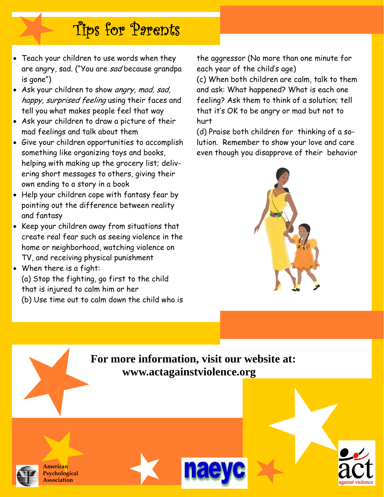- Teach your children to use words when they are angry, sad. ("You are sad because grandpa is gone")
- Ask your children to show angry, mad, sad, happy, surprised feeling using their faces and tell you what makes people feel that way
- Ask your children to draw a picture of their mad feelings and talk about them
- Give your children opportunities to accomplish something like organizing toys and books, helping with making up the grocery list; delivering short messages to others, giving their own ending to a story in a book
- Help your children cope with fantasy fear by pointing out the difference between reality and fantasy
- Keep your children away from situations that create real fear such as seeing violence in the home or neighborhood, watching violence on TV, and receiving physical punishment

• When there is a fight: (a) Stop the fighting, go first to the child that is injured to calm him or her (b) Use time out to calm down the child who is the aggressor (No more than one minute for each year of the child's age)

(c) When both children are calm, talk to them and ask: What happened? What is each one feeling? Ask them to think of a solution; tell that it's OK to be angry or mad but not to hurt

(d) Praise both children for thinking of a solution. Remember to show your love and care even though you disapprove of their behavior



 $\frac{1}{\mathrm{2C}}$ 

against violenc

 **For more information, visit our website at: www.actagainstviolence.org** 



**American Psychological Association**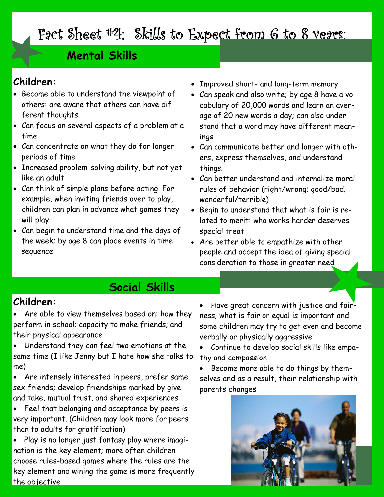# Fact Sheet #4: Skills to Expect from 6 to 8 years:

#### **Mental Skills**

#### **Children:**

- Become able to understand the viewpoint of others: are aware that others can have different thoughts
- Can focus on several aspects of a problem at a time
- Can concentrate on what they do for longer periods of time
- Increased problem-solving ability, but not yet like an adult
- Can think of simple plans before acting. For example, when inviting friends over to play, children can plan in advance what games they will play
- Can begin to understand time and the days of the week; by age 8 can place events in time sequence
- Improved short- and long-term memory
- Can speak and also write; by age 8 have a vocabulary of 20,000 words and learn an average of 20 new words a day; can also understand that a word may have different meanings
- Can communicate better and longer with others, express themselves, and understand things.
- Can better understand and internalize moral rules of behavior (right/wrong; good/bad; wonderful/terrible)
- Begin to understand that what is fair is related to merit: who works harder deserves special treat
- Are better able to empathize with other people and accept the idea of giving special consideration to those in greater need

#### **Social Skills**

#### **Children:**

- Are able to view themselves based on: how they perform in school; capacity to make friends; and their physical appearance
- Understand they can feel two emotions at the same time (I like Jenny but I hate how she talks to me)
- Are intensely interested in peers, prefer same sex friends; develop friendships marked by give and take, mutual trust, and shared experiences
- Feel that belonging and acceptance by peers is very important. (Children may look more for peers than to adults for gratification)
- the objective • Play is no longer just fantasy play where imagination is the key element; more often children choose rules-based games where the rules are the key element and wining the game is more frequently

• Have great concern with justice and fairness; what is fair or equal is important and some children may try to get even and become verbally or physically aggressive

• Continue to develop social skills like empathy and compassion

• Become more able to do things by themselves and as a result, their relationship with parents changes